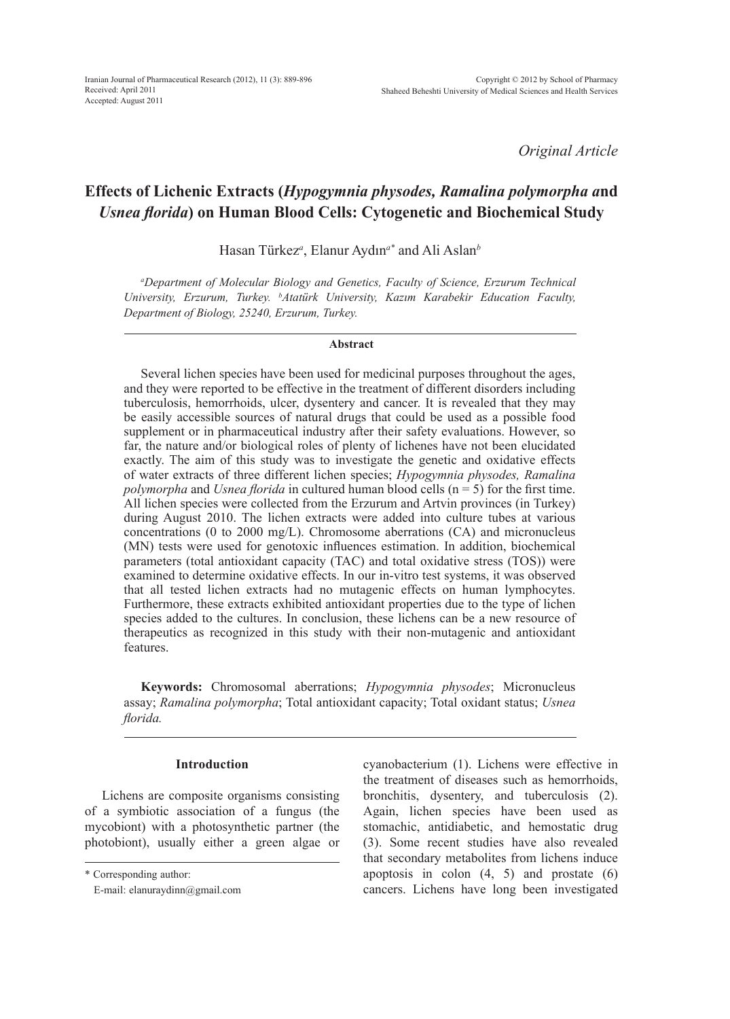*Original Article*

# **Effects of Lichenic Extracts (***Hypogymnia physodes, Ramalina polymorpha a***nd** *Usnea florida***) on Human Blood Cells: Cytogenetic and Biochemical Study**

Hasan Türkez*<sup>a</sup>* , Elanur Aydın*a\** and Ali Aslan*<sup>b</sup>*

*a Department of Molecular Biology and Genetics, Faculty of Science, Erzurum Technical University, Erzurum, Turkey. b Atatürk University, Kazım Karabekir Education Faculty, Department of Biology, 25240, Erzurum, Turkey.*

#### **Abstract**

Several lichen species have been used for medicinal purposes throughout the ages, and they were reported to be effective in the treatment of different disorders including tuberculosis, hemorrhoids, ulcer, dysentery and cancer. It is revealed that they may be easily accessible sources of natural drugs that could be used as a possible food supplement or in pharmaceutical industry after their safety evaluations. However, so far, the nature and/or biological roles of plenty of lichenes have not been elucidated exactly. The aim of this study was to investigate the genetic and oxidative effects of water extracts of three different lichen species; *Hypogymnia physodes, Ramalina polymorpha* and *Usnea florida* in cultured human blood cells (n = 5) for the first time. All lichen species were collected from the Erzurum and Artvin provinces (in Turkey) during August 2010. The lichen extracts were added into culture tubes at various concentrations (0 to 2000 mg/L). Chromosome aberrations (CA) and micronucleus (MN) tests were used for genotoxic influences estimation. In addition, biochemical parameters (total antioxidant capacity (TAC) and total oxidative stress (TOS)) were examined to determine oxidative effects. In our in-vitro test systems, it was observed that all tested lichen extracts had no mutagenic effects on human lymphocytes. Furthermore, these extracts exhibited antioxidant properties due to the type of lichen species added to the cultures. In conclusion, these lichens can be a new resource of therapeutics as recognized in this study with their non-mutagenic and antioxidant features.

**Keywords:** Chromosomal aberrations; *Hypogymnia physodes*; Micronucleus assay; *Ramalina polymorpha*; Total antioxidant capacity; Total oxidant status; *Usnea florida.*

# **Introduction**

Lichens are composite organisms consisting of a symbiotic association of a fungus (the mycobiont) with a photosynthetic partner (the photobiont), usually either a green algae or cyanobacterium (1). Lichens were effective in the treatment of diseases such as hemorrhoids, bronchitis, dysentery, and tuberculosis (2). Again, lichen species have been used as stomachic, antidiabetic, and hemostatic drug (3). Some recent studies have also revealed that secondary metabolites from lichens induce apoptosis in colon  $(4, 5)$  and prostate  $(6)$ cancers. Lichens have long been investigated

<sup>\*</sup> Corresponding author:

E-mail: elanuraydinn@gmail.com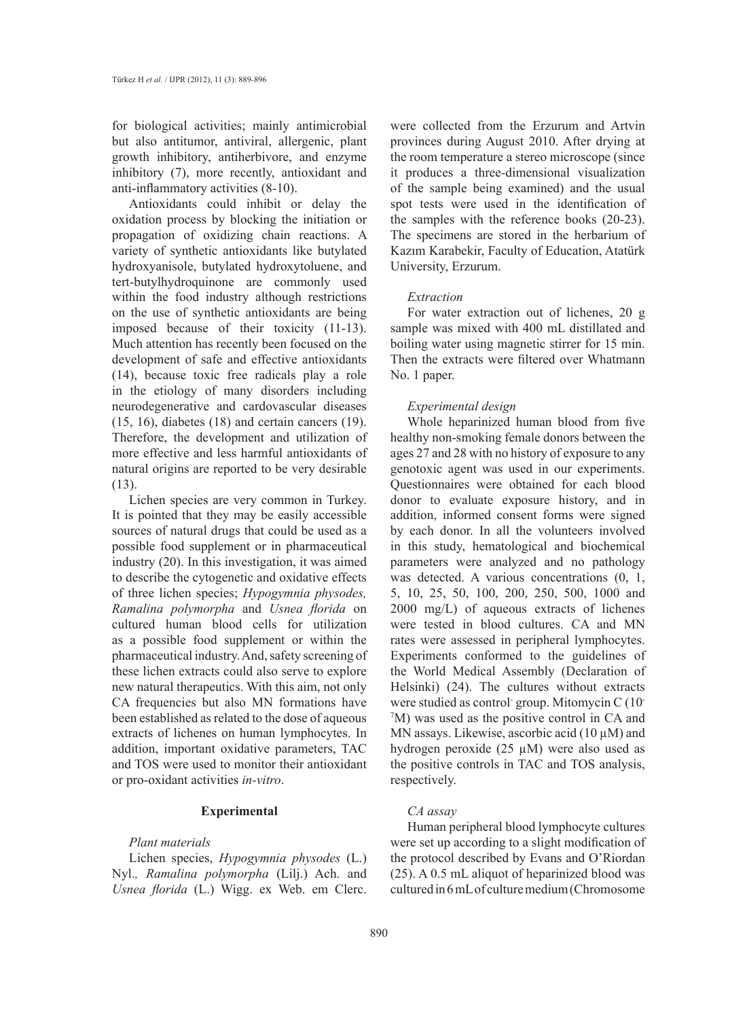for biological activities; mainly antimicrobial but also antitumor, antiviral, allergenic, plant growth inhibitory, antiherbivore, and enzyme inhibitory (7), more recently, antioxidant and anti-inflammatory activities (8-10).

Antioxidants could inhibit or delay the oxidation process by blocking the initiation or propagation of oxidizing chain reactions. A variety of synthetic antioxidants like butylated hydroxyanisole, butylated hydroxytoluene, and tert-butylhydroquinone are commonly used within the food industry although restrictions on the use of synthetic antioxidants are being imposed because of their toxicity (11-13). Much attention has recently been focused on the development of safe and effective antioxidants (14), because toxic free radicals play a role in the etiology of many disorders including neurodegenerative and cardovascular diseases  $(15, 16)$ , diabetes  $(18)$  and certain cancers  $(19)$ . Therefore, the development and utilization of more effective and less harmful antioxidants of natural origins are reported to be very desirable (13).

Lichen species are very common in Turkey. It is pointed that they may be easily accessible sources of natural drugs that could be used as a possible food supplement or in pharmaceutical industry (20). In this investigation, it was aimed to describe the cytogenetic and oxidative effects of three lichen species; *Hypogymnia physodes, Ramalina polymorpha* and *Usnea florida* on cultured human blood cells for utilization as a possible food supplement or within the pharmaceutical industry. And, safety screening of these lichen extracts could also serve to explore new natural therapeutics. With this aim, not only CA frequencies but also MN formations have been established as related to the dose of aqueous extracts of lichenes on human lymphocytes. In addition, important oxidative parameters, TAC and TOS were used to monitor their antioxidant or pro-oxidant activities *in-vitro*.

# **Experimental**

## *Plant materials*

Lichen species, *Hypogymnia physodes* (L.) Nyl.*, Ramalina polymorpha* (Lilj.) Ach. and *Usnea florida* (L.) Wigg. ex Web. em Clerc.

were collected from the Erzurum and Artvin provinces during August 2010. After drying at the room temperature a stereo microscope (since it produces a three-dimensional visualization of the sample being examined) and the usual spot tests were used in the identification of the samples with the reference books (20-23). The specimens are stored in the herbarium of Kazım Karabekir, Faculty of Education, Atatürk University, Erzurum.

#### *Extraction*

For water extraction out of lichenes, 20 g sample was mixed with 400 mL distillated and boiling water using magnetic stirrer for 15 min. Then the extracts were filtered over Whatmann No. 1 paper.

## *Experimental design*

Whole heparinized human blood from five healthy non-smoking female donors between the ages 27 and 28 with no history of exposure to any genotoxic agent was used in our experiments. Questionnaires were obtained for each blood donor to evaluate exposure history, and in addition, informed consent forms were signed by each donor. In all the volunteers involved in this study, hematological and biochemical parameters were analyzed and no pathology was detected. A various concentrations (0, 1, 5, 10, 25, 50, 100, 200, 250, 500, 1000 and 2000 mg/L) of aqueous extracts of lichenes were tested in blood cultures. CA and MN rates were assessed in peripheral lymphocytes. Experiments conformed to the guidelines of the World Medical Assembly (Declaration of Helsinki) (24). The cultures without extracts were studied as control-group. Mitomycin C (10-7 M) was used as the positive control in CA and MN assays. Likewise, ascorbic acid  $(10 \mu M)$  and hydrogen peroxide (25 µM) were also used as the positive controls in TAC and TOS analysis, respectively.

## *CA assay*

Human peripheral blood lymphocyte cultures were set up according to a slight modification of the protocol described by Evans and O'Riordan (25). A 0.5 mL aliquot of heparinized blood was cultured in 6 mL of culture medium (Chromosome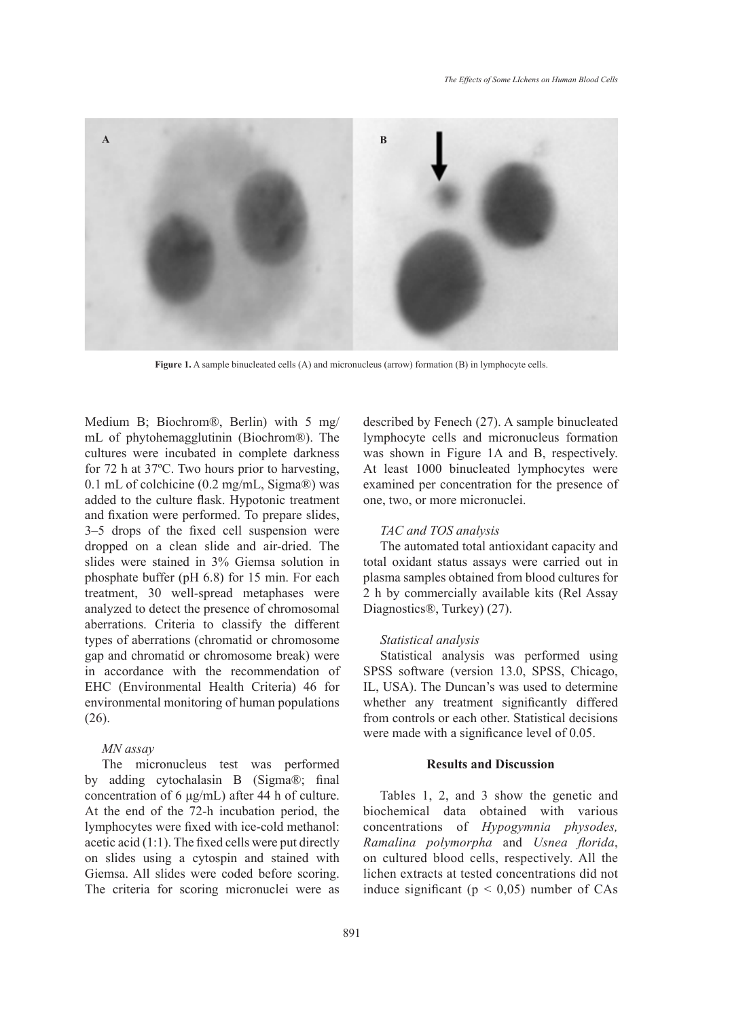

**Figure 1.** A sample binucleated cells (A) and micronucleus (arrow) formation (B) in lymphocyte cells.

Medium B; Biochrom®, Berlin) with 5 mg/ mL of phytohemagglutinin (Biochrom®). The cultures were incubated in complete darkness for 72 h at 37ºC. Two hours prior to harvesting, 0.1 mL of colchicine (0.2 mg/mL, Sigma®) was added to the culture flask. Hypotonic treatment and fixation were performed. To prepare slides, 3–5 drops of the fixed cell suspension were dropped on a clean slide and air-dried. The slides were stained in 3% Giemsa solution in phosphate buffer (pH 6.8) for 15 min. For each treatment, 30 well-spread metaphases were analyzed to detect the presence of chromosomal aberrations. Criteria to classify the different types of aberrations (chromatid or chromosome gap and chromatid or chromosome break) were in accordance with the recommendation of EHC (Environmental Health Criteria) 46 for environmental monitoring of human populations (26).

## *MN assay*

The micronucleus test was performed by adding cytochalasin B (Sigma®; final concentration of 6 μg/mL) after 44 h of culture. At the end of the 72-h incubation period, the lymphocytes were fixed with ice-cold methanol: acetic acid (1:1). The fixed cells were put directly on slides using a cytospin and stained with Giemsa. All slides were coded before scoring. The criteria for scoring micronuclei were as described by Fenech (27). A sample binucleated lymphocyte cells and micronucleus formation was shown in Figure 1A and B, respectively. At least 1000 binucleated lymphocytes were examined per concentration for the presence of one, two, or more micronuclei.

# *TAC and TOS analysis*

The automated total antioxidant capacity and total oxidant status assays were carried out in plasma samples obtained from blood cultures for 2 h by commercially available kits (Rel Assay Diagnostics®, Turkey) (27).

#### *Statistical analysis*

Statistical analysis was performed using SPSS software (version 13.0, SPSS, Chicago, IL, USA). The Duncan's was used to determine whether any treatment significantly differed from controls or each other. Statistical decisions were made with a significance level of 0.05.

# **Results and Discussion**

Tables 1, 2, and 3 show the genetic and biochemical data obtained with various concentrations of *Hypogymnia physodes, Ramalina polymorpha* and *Usnea florida*, on cultured blood cells, respectively. All the lichen extracts at tested concentrations did not induce significant ( $p < 0.05$ ) number of CAs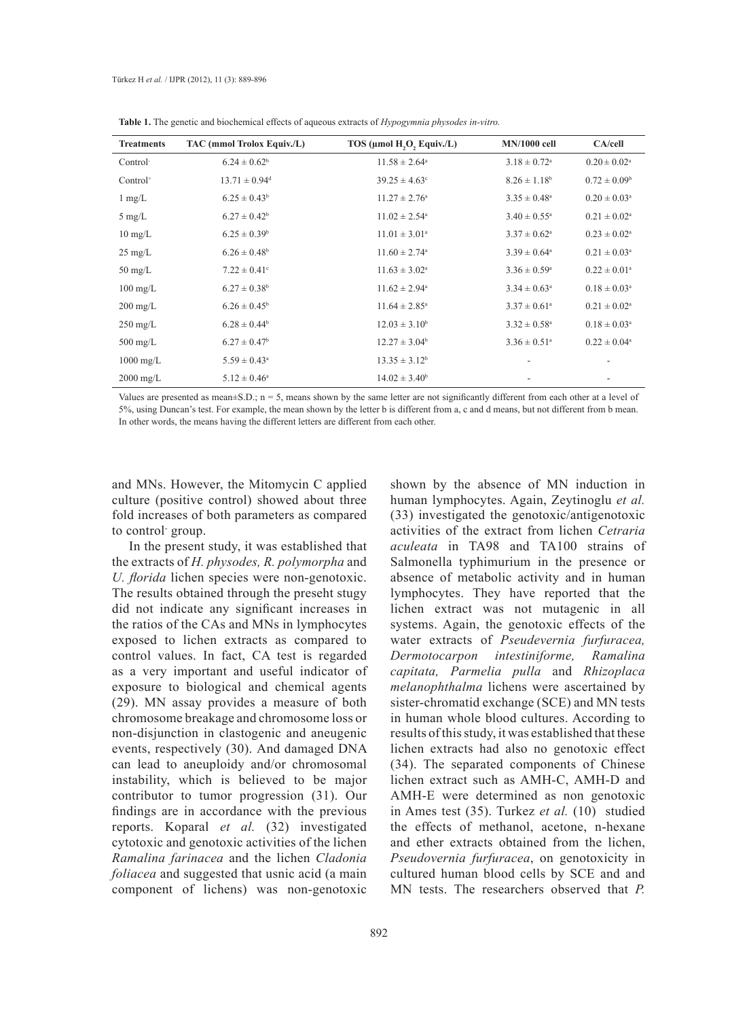| <b>Treatments</b>    | TAC (mmol Trolox Equiv./L)    | TOS (µmol H,O, Equiv./L)      | <b>MN/1000 cell</b>          | CA/cell                    |
|----------------------|-------------------------------|-------------------------------|------------------------------|----------------------------|
| Control <sup>-</sup> | $6.24 \pm 0.62^b$             | $11.58 \pm 2.64^{\circ}$      | $3.18 \pm 0.72$ <sup>a</sup> | $0.20 \pm 0.02^{\text{a}}$ |
| $Control+$           | $13.71 \pm 0.94$ <sup>d</sup> | $39.25 \pm 4.63^{\circ}$      | $8.26 \pm 1.18$ <sup>b</sup> | $0.72 \pm 0.09^{\rm b}$    |
| $1 \text{ mg/L}$     | $6.25 \pm 0.43^b$             | $11.27 \pm 2.76^{\circ}$      | $3.35 \pm 0.48^a$            | $0.20 \pm 0.03^{\text{a}}$ |
| $5 \text{ mg/L}$     | $6.27 \pm 0.42^b$             | $11.02 \pm 2.54$ <sup>a</sup> | $3.40 \pm 0.55^{\circ}$      | $0.21 \pm 0.02^{\text{a}}$ |
| $10 \text{ mg/L}$    | $6.25 \pm 0.39$ <sup>b</sup>  | $11.01 \pm 3.01^{\circ}$      | $3.37 \pm 0.62^a$            | $0.23 \pm 0.02^a$          |
| $25 \text{ mg/L}$    | $6.26 \pm 0.48$ <sup>b</sup>  | $11.60 \pm 2.74$ <sup>a</sup> | $3.39 \pm 0.64^{\circ}$      | $0.21 \pm 0.03^{\text{a}}$ |
| $50 \text{ mg/L}$    | $7.22 \pm 0.41$ °             | $11.63 \pm 3.02^{\circ}$      | $3.36 \pm 0.59^{\circ}$      | $0.22 \pm 0.01^{\circ}$    |
| $100 \text{ mg/L}$   | $6.27 \pm 0.38$ <sup>b</sup>  | $11.62 \pm 2.94^{\circ}$      | $3.34 \pm 0.63^{\circ}$      | $0.18 \pm 0.03^a$          |
| $200 \text{ mg/L}$   | $6.26 \pm 0.45^b$             | $11.64 \pm 2.85^{\circ}$      | $3.37 \pm 0.61^{\circ}$      | $0.21 \pm 0.02^a$          |
| $250 \text{ mg/L}$   | $6.28 \pm 0.44$ <sup>b</sup>  | $12.03 \pm 3.10^b$            | $3.32 \pm 0.58$ <sup>a</sup> | $0.18 \pm 0.03^{\text{a}}$ |
| $500 \text{ mg/L}$   | $6.27 \pm 0.47$ <sup>b</sup>  | $12.27 \pm 3.04^b$            | $3.36 \pm 0.51$ <sup>a</sup> | $0.22 \pm 0.04^a$          |
| $1000 \text{ mg/L}$  | $5.59 \pm 0.43^{\circ}$       | $13.35 \pm 3.12^b$            |                              |                            |
| $2000 \text{ mg/L}$  | $5.12 \pm 0.46^a$             | $14.02 \pm 3.40^b$            |                              |                            |

**Table 1.** The genetic and biochemical effects of aqueous extracts of *Hypogymnia physodes in-vitro.*

Values are presented as mean $\pm$ S.D.; n = 5, means shown by the same letter are not significantly different from each other at a level of 5%, using Duncan's test. For example, the mean shown by the letter b is different from a, c and d means, but not different from b mean. In other words, the means having the different letters are different from each other.

and MNs. However, the Mitomycin C applied culture (positive control) showed about three fold increases of both parameters as compared to control- group.

In the present study, it was established that the extracts of *H. physodes, R. polymorpha* and *U. florida* lichen species were non-genotoxic. The results obtained through the preseht stugy did not indicate any significant increases in the ratios of the CAs and MNs in lymphocytes exposed to lichen extracts as compared to control values. In fact, CA test is regarded as a very important and useful indicator of exposure to biological and chemical agents (29). MN assay provides a measure of both chromosome breakage and chromosome loss or non-disjunction in clastogenic and aneugenic events, respectively (30). And damaged DNA can lead to aneuploidy and/or chromosomal instability, which is believed to be major contributor to tumor progression (31). Our findings are in accordance with the previous reports. Koparal *et al.* (32) investigated cytotoxic and genotoxic activities of the lichen *Ramalina farinacea* and the lichen *Cladonia foliacea* and suggested that usnic acid (a main component of lichens) was non-genotoxic

shown by the absence of MN induction in human lymphocytes. Again, Zeytinoglu *et al.* (33) investigated the genotoxic/antigenotoxic activities of the extract from lichen *Cetraria aculeata* in TA98 and TA100 strains of Salmonella typhimurium in the presence or absence of metabolic activity and in human lymphocytes. They have reported that the lichen extract was not mutagenic in all systems. Again, the genotoxic effects of the water extracts of *Pseudevernia furfuracea, Dermotocarpon intestiniforme, Ramalina capitata, Parmelia pulla* and *Rhizoplaca melanophthalma* lichens were ascertained by sister-chromatid exchange (SCE) and MN tests in human whole blood cultures. According to results of this study, it was established that these lichen extracts had also no genotoxic effect (34). The separated components of Chinese lichen extract such as AMH-C, AMH-D and AMH-E were determined as non genotoxic in Ames test (35). Turkez *et al.* (10) studied the effects of methanol, acetone, n-hexane and ether extracts obtained from the lichen, *Pseudovernia furfuracea*, on genotoxicity in cultured human blood cells by SCE and and MN tests. The researchers observed that *P.*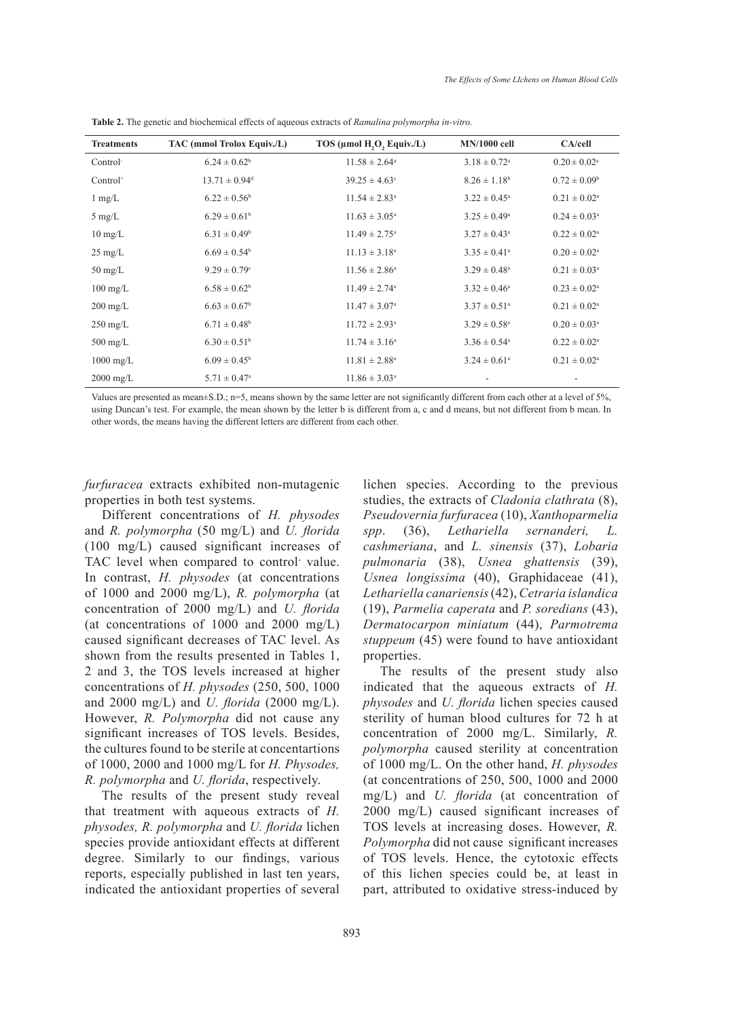| <b>Treatments</b>   | TAC (mmol Trolox Equiv./L)    | TOS (µmol H,O, Equiv./L)      | <b>MN/1000 cell</b>          | CA/cell                    |
|---------------------|-------------------------------|-------------------------------|------------------------------|----------------------------|
| Control             | $6.24 \pm 0.62^b$             | $11.58 \pm 2.64^{\circ}$      | $3.18 \pm 0.72$ <sup>a</sup> | $0.20 \pm 0.02^{\text{a}}$ |
| $Control+$          | $13.71 \pm 0.94$ <sup>d</sup> | $39.25 \pm 4.63$ °            | $8.26 \pm 1.18$ <sup>b</sup> | $0.72 \pm 0.09^b$          |
| $1 \text{ mg/L}$    | $6.22 \pm 0.56^b$             | $11.54 \pm 2.83^{\circ}$      | $3.22 \pm 0.45^{\circ}$      | $0.21 \pm 0.02^{\text{a}}$ |
| $5 \text{ mg/L}$    | $6.29 \pm 0.61^b$             | $11.63 \pm 3.05^{\circ}$      | $3.25 \pm 0.49^{\circ}$      | $0.24 \pm 0.03^{\circ}$    |
| $10 \text{ mg/L}$   | $6.31 \pm 0.49$ <sup>b</sup>  | $11.49 \pm 2.75$ <sup>a</sup> | $3.27 \pm 0.43^{\circ}$      | $0.22 \pm 0.02^{\text{a}}$ |
| $25 \text{ mg/L}$   | $6.69 \pm 0.54^b$             | $11.13 \pm 3.18^a$            | $3.35 \pm 0.41$ <sup>a</sup> | $0.20 \pm 0.02^{\text{a}}$ |
| $50 \text{ mg/L}$   | $9.29 \pm 0.79$ °             | $11.56 \pm 2.86^a$            | $3.29 \pm 0.48$ <sup>a</sup> | $0.21 \pm 0.03^{\text{a}}$ |
| $100 \text{ mg/L}$  | $6.58 \pm 0.62^b$             | $11.49 \pm 2.74$ <sup>a</sup> | $3.32 \pm 0.46^{\circ}$      | $0.23 \pm 0.02^{\text{a}}$ |
| $200 \text{ mg/L}$  | $6.63 \pm 0.67$ <sup>b</sup>  | $11.47 \pm 3.07^{\circ}$      | $3.37 \pm 0.51$ <sup>a</sup> | $0.21 \pm 0.02^{\text{a}}$ |
| $250 \text{ mg/L}$  | $6.71 \pm 0.48$ <sup>b</sup>  | $11.72 \pm 2.93^{\circ}$      | $3.29 \pm 0.58$ <sup>a</sup> | $0.20 \pm 0.03^{\text{a}}$ |
| $500 \text{ mg/L}$  | $6.30 \pm 0.51^{\rm b}$       | $11.74 \pm 3.16^{\circ}$      | $3.36 \pm 0.54$ <sup>a</sup> | $0.22 \pm 0.02^{\text{a}}$ |
| $1000 \text{ mg/L}$ | $6.09 \pm 0.45^{\rm b}$       | $11.81 \pm 2.88^a$            | $3.24 \pm 0.61$ <sup>a</sup> | $0.21 \pm 0.02^{\text{a}}$ |
| $2000 \text{ mg/L}$ | $5.71 \pm 0.47^{\circ}$       | $11.86 \pm 3.03^{\circ}$      | $\overline{\phantom{a}}$     |                            |

**Table 2.** The genetic and biochemical effects of aqueous extracts of *Ramalina polymorpha in-vitro.*

Values are presented as mean±S.D.; n=5, means shown by the same letter are not significantly different from each other at a level of 5%, using Duncan's test. For example, the mean shown by the letter b is different from a, c and d means, but not different from b mean. In other words, the means having the different letters are different from each other.

*furfuracea* extracts exhibited non-mutagenic properties in both test systems.

Different concentrations of *H. physodes* and *R. polymorpha* (50 mg/L) and *U. florida* (100 mg/L) caused significant increases of TAC level when compared to control value. In contrast, *H. physodes* (at concentrations of 1000 and 2000 mg/L), *R. polymorpha* (at concentration of 2000 mg/L) and *U. florida* (at concentrations of  $1000$  and  $2000$  mg/L) caused significant decreases of TAC level. As shown from the results presented in Tables 1, 2 and 3, the TOS levels increased at higher concentrations of *H. physodes* (250, 500, 1000 and 2000 mg/L) and *U. florida* (2000 mg/L). However, *R. Polymorpha* did not cause any significant increases of TOS levels. Besides, the cultures found to be sterile at concentartions of 1000, 2000 and 1000 mg/L for *H. Physodes, R. polymorpha* and *U. florida*, respectively.

The results of the present study reveal that treatment with aqueous extracts of *H. physodes, R. polymorpha* and *U. florida* lichen species provide antioxidant effects at different degree. Similarly to our findings, various reports, especially published in last ten years, indicated the antioxidant properties of several

lichen species. According to the previous studies, the extracts of *Cladonia clathrata* (8), *Pseudovernia furfuracea* (10), *Xanthoparmelia spp*. (36), *Lethariella sernanderi, L. cashmeriana*, and *L. sinensis* (37), *Lobaria pulmonaria* (38), *Usnea ghattensis* (39), *Usnea longissima* (40), Graphidaceae (41), *Lethariella canariensis* (42), *Cetraria islandica* (19), *Parmelia caperata* and *P. soredians* (43), *Dermatocarpon miniatum* (44), *Parmotrema stuppeum* (45) were found to have antioxidant properties.

The results of the present study also indicated that the aqueous extracts of *H. physodes* and *U. florida* lichen species caused sterility of human blood cultures for 72 h at concentration of 2000 mg/L. Similarly, *R. polymorpha* caused sterility at concentration of 1000 mg/L. On the other hand, *H. physodes*  (at concentrations of 250, 500, 1000 and 2000 mg/L) and *U. florida* (at concentration of 2000 mg/L) caused significant increases of TOS levels at increasing doses. However, *R. Polymorpha* did not cause significant increases of TOS levels. Hence, the cytotoxic effects of this lichen species could be, at least in part, attributed to oxidative stress-induced by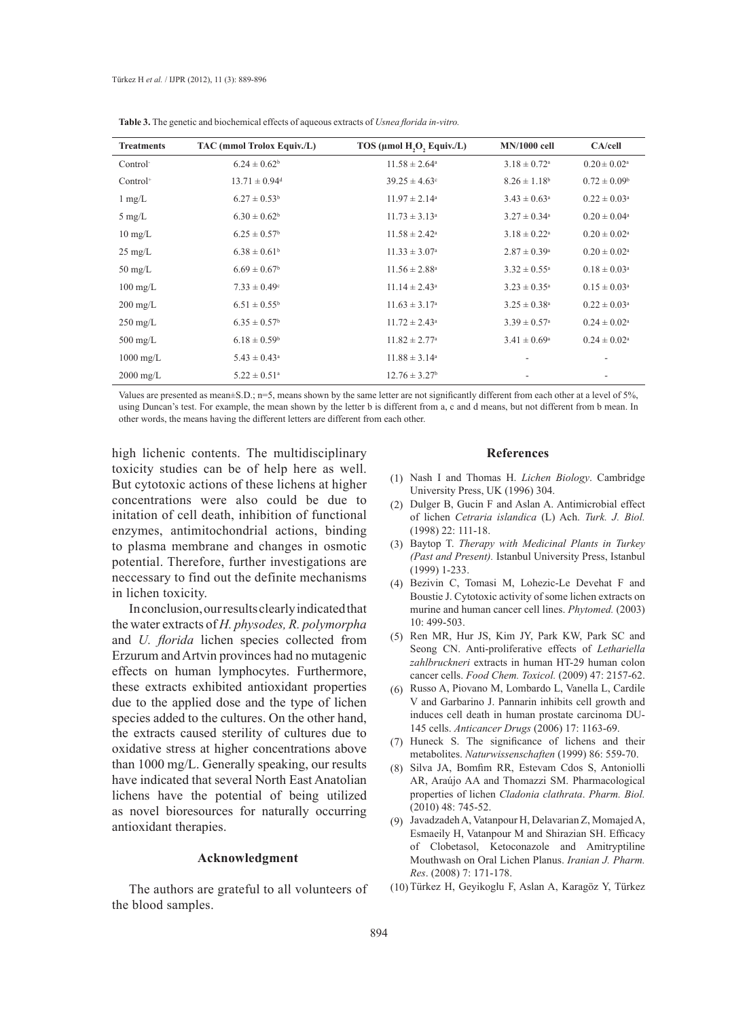| <b>Treatments</b>    | TAC (mmol Trolox Equiv./L)    | TOS (µmol H,O, Equiv./L)      | <b>MN/1000 cell</b>          | CA/cell                    |
|----------------------|-------------------------------|-------------------------------|------------------------------|----------------------------|
| Control <sup>-</sup> | $6.24 \pm 0.62^b$             | $11.58 \pm 2.64^{\circ}$      | $3.18 \pm 0.72$ <sup>a</sup> | $0.20 \pm 0.02^{\text{a}}$ |
| Control <sup>+</sup> | $13.71 \pm 0.94$ <sup>d</sup> | $39.25 \pm 4.63$ <sup>c</sup> | $8.26 \pm 1.18$ <sup>b</sup> | $0.72 \pm 0.09^b$          |
| $1 \text{ mg/L}$     | $6.27 \pm 0.53^b$             | $11.97 \pm 2.14^a$            | $3.43 \pm 0.63^{\circ}$      | $0.22 \pm 0.03^a$          |
| $5 \text{ mg/L}$     | $6.30 \pm 0.62^b$             | $11.73 \pm 3.13^{\circ}$      | $3.27 \pm 0.34^{\circ}$      | $0.20 \pm 0.04^{\text{a}}$ |
| $10 \text{ mg/L}$    | $6.25 \pm 0.57$ <sup>b</sup>  | $11.58 \pm 2.42^{\circ}$      | $3.18 \pm 0.22^a$            | $0.20 \pm 0.02^a$          |
| $25 \text{ mg/L}$    | $6.38 \pm 0.61^b$             | $11.33 \pm 3.07^{\circ}$      | $2.87 \pm 0.39^{\rm a}$      | $0.20 \pm 0.02^a$          |
| $50 \text{ mg/L}$    | $6.69 \pm 0.67^b$             | $11.56 \pm 2.88^a$            | $3.32 \pm 0.55^{\circ}$      | $0.18 \pm 0.03^a$          |
| $100 \text{ mg/L}$   | $7.33 \pm 0.49$ <sup>c</sup>  | $11.14 \pm 2.43^{\circ}$      | $3.23 \pm 0.35^{\circ}$      | $0.15 \pm 0.03^{\text{a}}$ |
| $200 \text{ mg/L}$   | $6.51 \pm 0.55^{\rm b}$       | $11.63 \pm 3.17^{\circ}$      | $3.25 \pm 0.38^a$            | $0.22 \pm 0.03^a$          |
| $250 \text{ mg/L}$   | $6.35 \pm 0.57^{\rm b}$       | $11.72 \pm 2.43^{\circ}$      | $3.39 \pm 0.57$ <sup>a</sup> | $0.24 \pm 0.02^{\text{a}}$ |
| $500 \text{ mg/L}$   | $6.18 \pm 0.59$ <sup>b</sup>  | $11.82 \pm 2.77$ <sup>a</sup> | $3.41 \pm 0.69^{\circ}$      | $0.24 \pm 0.02^{\text{a}}$ |
| $1000 \text{ mg/L}$  | $5.43 \pm 0.43^a$             | $11.88 \pm 3.14^a$            |                              |                            |
| $2000 \text{ mg/L}$  | $5.22 \pm 0.51$ <sup>a</sup>  | $12.76 \pm 3.27^b$            |                              | ۰                          |

**Table 3.** The genetic and biochemical effects of aqueous extracts of *Usnea florida in-vitro.*

Values are presented as mean $\pm$ S.D.; n=5, means shown by the same letter are not significantly different from each other at a level of 5%, using Duncan's test. For example, the mean shown by the letter b is different from a, c and d means, but not different from b mean. In other words, the means having the different letters are different from each other.

high lichenic contents. The multidisciplinary toxicity studies can be of help here as well. But cytotoxic actions of these lichens at higher concentrations were also could be due to initation of cell death, inhibition of functional enzymes, antimitochondrial actions, binding to plasma membrane and changes in osmotic potential. Therefore, further investigations are neccessary to find out the definite mechanisms in lichen toxicity.

In conclusion, our results clearly indicated that the water extracts of *H. physodes, R. polymorpha*  and *U. florida* lichen species collected from Erzurum and Artvin provinces had no mutagenic effects on human lymphocytes. Furthermore, these extracts exhibited antioxidant properties due to the applied dose and the type of lichen species added to the cultures. On the other hand, the extracts caused sterility of cultures due to oxidative stress at higher concentrations above than 1000 mg/L. Generally speaking, our results have indicated that several North East Anatolian lichens have the potential of being utilized as novel bioresources for naturally occurring antioxidant therapies.

#### **Acknowledgment**

The authors are grateful to all volunteers of the blood samples.

## **References**

- Nash I and Thomas H. *Lichen Biology*. Cambridge (1) University Press, UK (1996) 304.
- Dulger B, Gucin F and Aslan A. Antimicrobial effect (2) of lichen *Cetraria islandica* (L) Ach. *Turk. J. Biol.* (1998) 22: 111-18.
- Baytop T. *Therapy with Medicinal Plants in Turkey*  (3) *(Past and Present).* Istanbul University Press, Istanbul (1999) 1-233.
- Bezivin C, Tomasi M, Lohezic-Le Devehat F and (4) Boustie J. Cytotoxic activity of some lichen extracts on murine and human cancer cell lines. *Phytomed.* (2003)  $10.499 - 503$
- (5) Ren MR, Hur JS, Kim JY, Park KW, Park SC and Seong CN. Anti-proliferative effects of *Lethariella zahlbruckneri* extracts in human HT-29 human colon cancer cells. *Food Chem. Toxicol.* (2009) 47: 2157-62.
- Russo A, Piovano M, Lombardo L, Vanella L, Cardile (6) V and Garbarino J. Pannarin inhibits cell growth and induces cell death in human prostate carcinoma DU-145 cells. *Anticancer Drugs* (2006) 17: 1163-69.
- (7) Huneck S. The significance of lichens and their metabolites. *Naturwissenschaften* (1999) 86: 559-70.
- (8) Silva JA, Bomfim RR, Estevam Cdos S, Antoniolli AR, Araújo AA and Thomazzi SM. Pharmacological properties of lichen *Cladonia clathrata*. *Pharm. Biol.* (2010) 48: 745-52.
- (9) Javadzadeh A, Vatanpour H, Delavarian Z, Momajed A, Esmaeily H, Vatanpour M and Shirazian SH. Efficacy of Clobetasol, Ketoconazole and Amitryptiline Mouthwash on Oral Lichen Planus. *Iranian J. Pharm. Res*. (2008) 7: 171-178.
- (10) Türkez H, Geyikoglu F, Aslan A, Karagöz Y, Türkez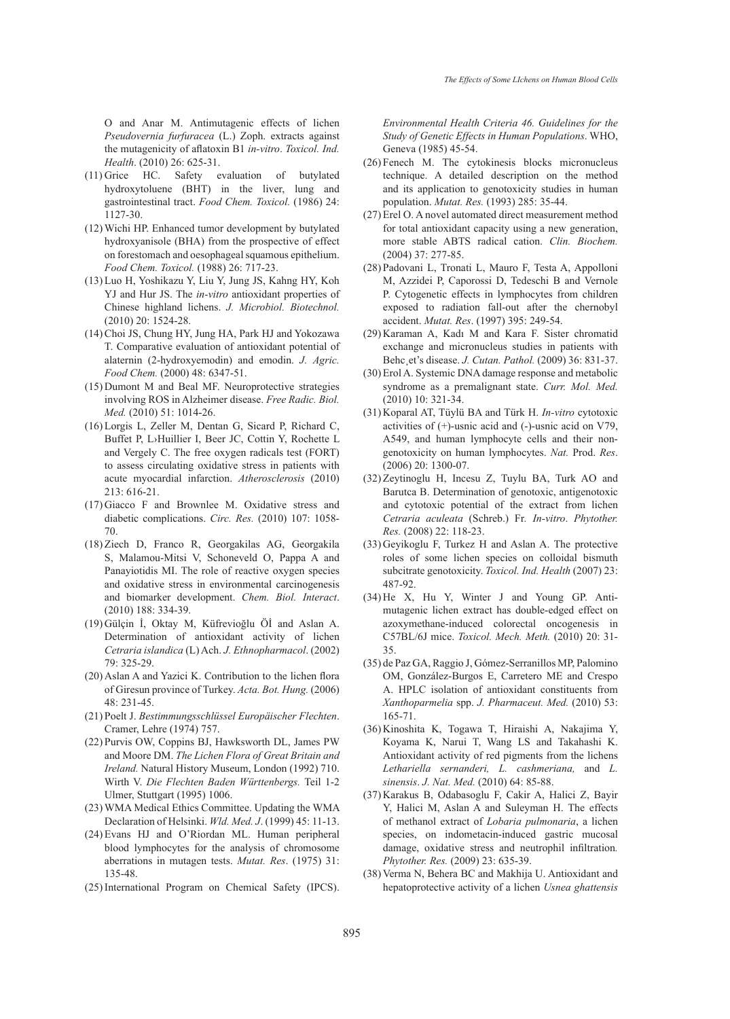O and Anar M. Antimutagenic effects of lichen *Pseudovernia furfuracea* (L.) Zoph. extracts against the mutagenicity of aflatoxin B1 *in-vitro*. *Toxicol. Ind. Health*. (2010) 26: 625-31.

- $(11)$  Grice HC. Safety evaluation of butylated hydroxytoluene (BHT) in the liver, lung and gastrointestinal tract. *Food Chem. Toxicol.* (1986) 24: 1127-30.
- Wichi HP. Enhanced tumor development by butylated (12) hydroxyanisole (BHA) from the prospective of effect on forestomach and oesophageal squamous epithelium. *Food Chem. Toxicol.* (1988) 26: 717-23.
- Luo H, Yoshikazu Y, Liu Y, Jung JS, Kahng HY, Koh (13) YJ and Hur JS. The *in-vitro* antioxidant properties of Chinese highland lichens. *J. Microbiol. Biotechnol.* (2010) 20: 1524-28.
- (14) Choi JS, Chung HY, Jung HA, Park HJ and Yokozawa T. Comparative evaluation of antioxidant potential of alaternin (2-hydroxyemodin) and emodin. *J. Agric. Food Chem.* (2000) 48: 6347-51.
- $(15)$  Dumont M and Beal MF. Neuroprotective strategies involving ROS in Alzheimer disease. *Free Radic. Biol. Med.* (2010) 51: 1014-26.
- (16) Lorgis L, Zeller M, Dentan G, Sicard P, Richard C, Buffet P, L›Huillier I, Beer JC, Cottin Y, Rochette L and Vergely C. The free oxygen radicals test (FORT) to assess circulating oxidative stress in patients with acute myocardial infarction. *Atherosclerosis* (2010) 213: 616-21.
- $(17)$  Giacco F and Brownlee M. Oxidative stress and diabetic complications. *Circ. Res.* (2010) 107: 1058- 70.
- (18) Ziech D, Franco R, Georgakilas AG, Georgakila S, Malamou-Mitsi V, Schoneveld O, Pappa A and Panayiotidis MI. The role of reactive oxygen species and oxidative stress in environmental carcinogenesis and biomarker development. *Chem. Biol. Interact*. (2010) 188: 334-39.
- Gülçin İ, Oktay M, Küfrevioğlu Öİ and Aslan A. (19) Determination of antioxidant activity of lichen *Cetraria islandica* (L) Ach. *J. Ethnopharmacol*. (2002) 79: 325-29.
- $(20)$  Aslan A and Yazici K. Contribution to the lichen flora of Giresun province of Turkey. *Acta. Bot. Hung.* (2006) 48: 231-45.
- Poelt J. *Bestimmungsschlüssel Europäischer Flechten*. (21) Cramer, Lehre (1974) 757.
- (22) Purvis OW, Coppins BJ, Hawksworth DL, James PW and Moore DM. *The Lichen Flora of Great Britain and Ireland.* Natural History Museum, London (1992) 710. Wirth V. *Die Flechten Baden Württenbergs.* Teil 1-2 Ulmer, Stuttgart (1995) 1006.
- WMA Medical Ethics Committee. Updating the WMA (23) Declaration of Helsinki. *Wld. Med. J*. (1999) 45: 11-13.
- (24) Evans HJ and O'Riordan ML. Human peripheral blood lymphocytes for the analysis of chromosome aberrations in mutagen tests. *Mutat. Res*. (1975) 31: 135-48.
- (25) International Program on Chemical Safety (IPCS).

*Environmental Health Criteria 46. Guidelines for the Study of Genetic Effects in Human Populations*. WHO, Geneva (1985) 45-54.

- $(26)$  Fenech M. The cytokinesis blocks micronucleus technique. A detailed description on the method and its application to genotoxicity studies in human population. *Mutat. Res.* (1993) 285: 35-44.
- (27) Erel O. A novel automated direct measurement method for total antioxidant capacity using a new generation, more stable ABTS radical cation. *Clin. Biochem.* (2004) 37: 277-85.
- Padovani L, Tronati L, Mauro F, Testa A, Appolloni (28) M, Azzidei P, Caporossi D, Tedeschi B and Vernole P. Cytogenetic effects in lymphocytes from children exposed to radiation fall-out after the chernobyl accident. *Mutat. Res*. (1997) 395: 249-54.
- (29) Karaman A, Kadı M and Kara F. Sister chromatid exchange and micronucleus studies in patients with Behc¸et's disease. *J. Cutan. Pathol.* (2009) 36: 831-37.
- (30) Erol A. Systemic DNA damage response and metabolic syndrome as a premalignant state. *Curr. Mol. Med.* (2010) 10: 321-34.
- (31) Koparal AT, Tüylü BA and Türk H. *In-vitro* cytotoxic activities of (+)-usnic acid and (-)-usnic acid on V79, A549, and human lymphocyte cells and their nongenotoxicity on human lymphocytes. *Nat.* Prod. *Res*. (2006) 20: 1300-07.
- $(32)$  Zeytinoglu H, Incesu Z, Tuylu BA, Turk AO and Barutca B. Determination of genotoxic, antigenotoxic and cytotoxic potential of the extract from lichen *Cetraria aculeata* (Schreb.) Fr*. In-vitro*. *Phytother. Res.* (2008) 22: 118-23.
- (33) Geyikoglu F, Turkez H and Aslan A. The protective roles of some lichen species on colloidal bismuth subcitrate genotoxicity. *Toxicol. Ind. Health* (2007) 23: 487-92.
- $(34)$  He X, Hu Y, Winter J and Young GP. Antimutagenic lichen extract has double-edged effect on azoxymethane-induced colorectal oncogenesis in C57BL/6J mice. *Toxicol. Mech. Meth.* (2010) 20: 31- 35.
- (35) de Paz GA, Raggio J, Gómez-Serranillos MP, Palomino OM, González-Burgos E, Carretero ME and Crespo A. HPLC isolation of antioxidant constituents from *Xanthoparmelia* spp. *J. Pharmaceut. Med.* (2010) 53: 165-71.
- (36) Kinoshita K, Togawa T, Hiraishi A, Nakajima Y, Koyama K, Narui T, Wang LS and Takahashi K. Antioxidant activity of red pigments from the lichens *Lethariella sernanderi, L. cashmeriana,* and *L. sinensis*. *J. Nat. Med.* (2010) 64: 85-88.
- (37) Karakus B, Odabasoglu F, Cakir A, Halici Z, Bayir Y, Halici M, Aslan A and Suleyman H. The effects of methanol extract of *Lobaria pulmonaria*, a lichen species, on indometacin-induced gastric mucosal damage, oxidative stress and neutrophil infiltration*. Phytother. Res.* (2009) 23: 635-39.
- (38) Verma N, Behera BC and Makhija U. Antioxidant and hepatoprotective activity of a lichen *Usnea ghattensis*